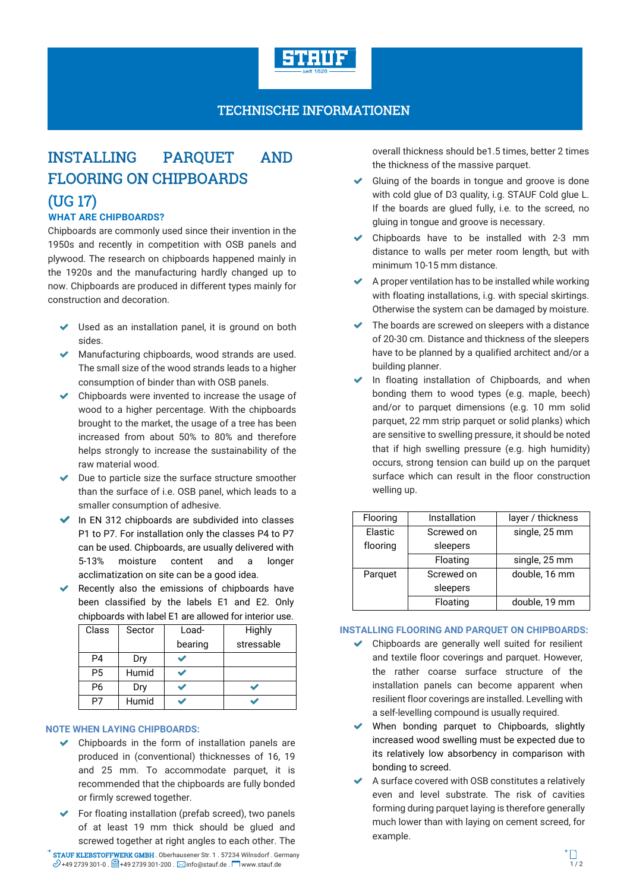

## TECHNISCHE INFORMATIONEN

# INSTALLING PARQUET AND FLOORING ON CHIPBOARDS

# (UG 17)

### **WHAT ARE CHIPBOARDS?**

Chipboards are commonly used since their invention in the 1950s and recently in competition with OSB panels and plywood. The research on chipboards happened mainly in the 1920s and the manufacturing hardly changed up to now. Chipboards are produced in different types mainly for construction and decoration.

- Used as an installation panel, it is ground on both sides.
- Manufacturing chipboards, wood strands are used. The small size of the wood strands leads to a higher consumption of binder than with OSB panels.
- $\triangleright$  Chipboards were invented to increase the usage of wood to a higher percentage. With the chipboards brought to the market, the usage of a tree has been increased from about 50% to 80% and therefore helps strongly to increase the sustainability of the raw material wood.
- $\blacktriangleright$  Due to particle size the surface structure smoother than the surface of i.e. OSB panel, which leads to a smaller consumption of adhesive.
- $\blacktriangleright$  In EN 312 chipboards are subdivided into classes P1 to P7. For installation only the classes P4 to P7 can be used. Chipboards, are usually delivered with 5-13% moisture content and a longer acclimatization on site can be a good idea.
- Recently also the emissions of chipboards have been classified by the labels E1 and E2. Only chipboards with label E1 are allowed for interior use.

| Class          | Sector | Load-<br>bearing | Highly<br>stressable |
|----------------|--------|------------------|----------------------|
| P4             | Dry    |                  |                      |
| P <sub>5</sub> | Humid  |                  |                      |
| P6             | Dry    |                  |                      |
| P7             | Humid  |                  |                      |

#### **NOTE WHEN LAYING CHIPBOARDS:**

- $\triangleright$  Chipboards in the form of installation panels are produced in (conventional) thicknesses of 16, 19 and 25 mm. To accommodate parquet, it is recommended that the chipboards are fully bonded or firmly screwed together.
- $\triangleright$  For floating installation (prefab screed), two panels of at least 19 mm thick should be glued and screwed together at right angles to each other. The

STAUF KLEBSTOFFWERK GMBH . Oberhausener Str. 1 . 57234 Wilnsdorf . Germany **STAUF KLEBSTOFFWERK GMBH** . Oberhausener Str. 1 . 57234 Wilnsdorf . Germany<br> $\mathcal{O}$ +49 2739 301-0 .  $\Xi$ 1+49 2739 301-200 .  $\square$ info@stauf.de .  $\square$  www.stauf.de .

overall thickness should be1.5 times, better 2 times the thickness of the massive parquet.

- Gluing of the boards in tongue and groove is done with cold glue of D3 quality, i.g. STAUF Cold glue L. If the boards are glued fully, i.e. to the screed, no gluing in tongue and groove is necessary.
- Chipboards have to be installed with 2-3 mm distance to walls per meter room length, but with minimum 10-15 mm distance.
- $\blacktriangleright$  A proper ventilation has to be installed while working with floating installations, i.g. with special skirtings. Otherwise the system can be damaged by moisture.
- $\blacktriangleright$  The boards are screwed on sleepers with a distance of 20-30 cm. Distance and thickness of the sleepers have to be planned by a qualified architect and/or a building planner.
- In floating installation of Chipboards, and when bonding them to wood types (e.g. maple, beech) and/or to parquet dimensions (e.g. 10 mm solid parquet, 22 mm strip parquet or solid planks) which are sensitive to swelling pressure, it should be noted that if high swelling pressure (e.g. high humidity) occurs, strong tension can build up on the parquet surface which can result in the floor construction welling up.

| Flooring | Installation | layer / thickness |  |
|----------|--------------|-------------------|--|
| Elastic  | Screwed on   | single, 25 mm     |  |
| flooring | sleepers     |                   |  |
|          | Floating     | single, 25 mm     |  |
| Parquet  | Screwed on   | double, 16 mm     |  |
|          | sleepers     |                   |  |
|          | Floating     | double, 19 mm     |  |

#### **INSTALLING FLOORING AND PARQUET ON CHIPBOARDS:**

- $\triangleright$  Chipboards are generally well suited for resilient and textile floor coverings and parquet. However, the rather coarse surface structure of the installation panels can become apparent when resilient floor coverings are installed. Levelling with a self-levelling compound is usually required.
- When bonding parquet to Chipboards, slightly increased wood swelling must be expected due to its relatively low absorbency in comparison with bonding to screed.
- A surface covered with OSB constitutes a relatively even and level substrate. The risk of cavities forming during parquet laying is therefore generally much lower than with laying on cement screed, for example.